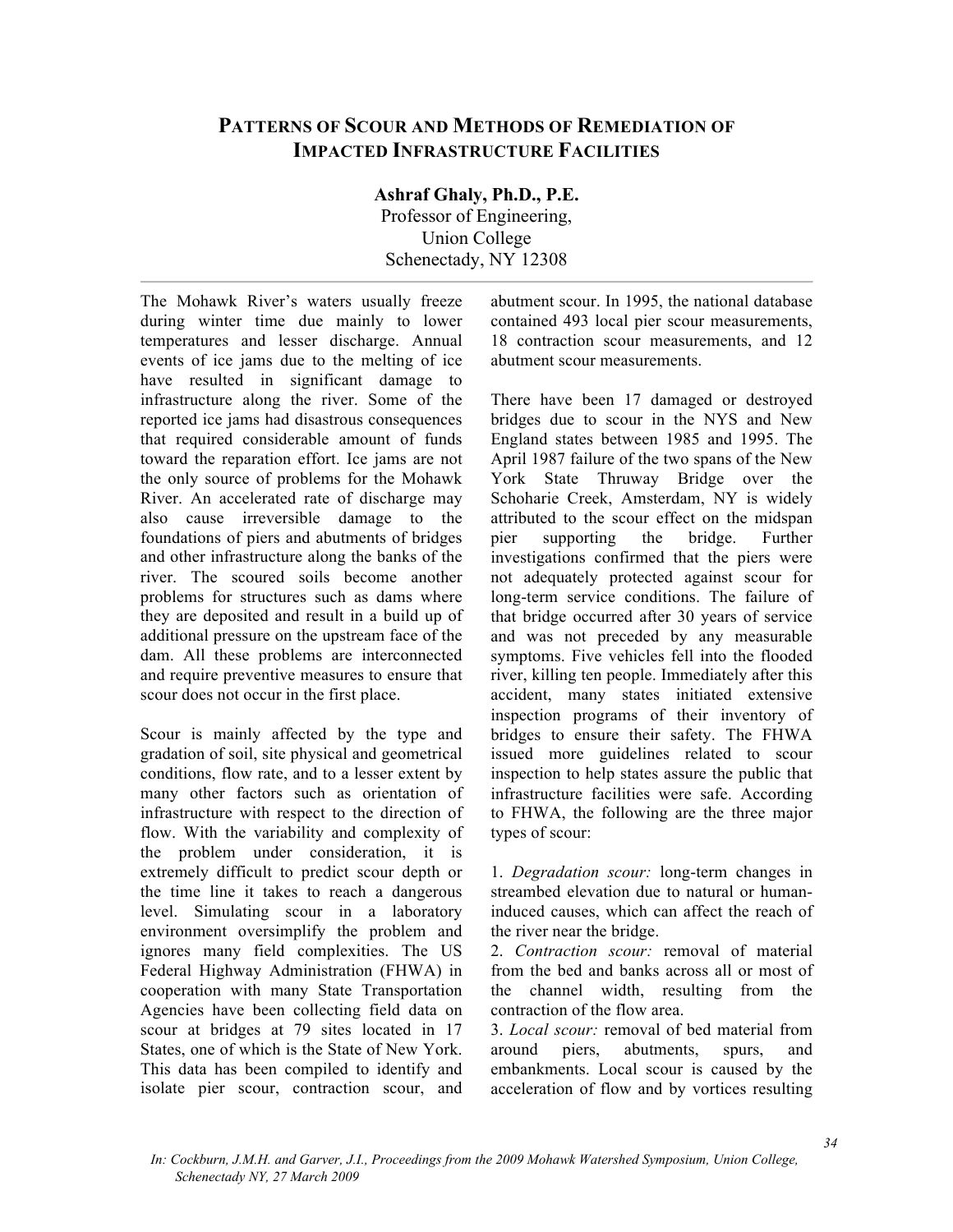## **PATTERNS OF SCOUR AND METHODS OF REMEDIATION OF IMPACTED INFRASTRUCTURE FACILITIES**

**Ashraf Ghaly, Ph.D., P.E.** 

Professor of Engineering, Union College Schenectady, NY 12308

The Mohawk River's waters usually freeze during winter time due mainly to lower temperatures and lesser discharge. Annual events of ice jams due to the melting of ice have resulted in significant damage to infrastructure along the river. Some of the reported ice jams had disastrous consequences that required considerable amount of funds toward the reparation effort. Ice jams are not the only source of problems for the Mohawk River. An accelerated rate of discharge may also cause irreversible damage to the foundations of piers and abutments of bridges and other infrastructure along the banks of the river. The scoured soils become another problems for structures such as dams where they are deposited and result in a build up of additional pressure on the upstream face of the dam. All these problems are interconnected and require preventive measures to ensure that scour does not occur in the first place.

Scour is mainly affected by the type and gradation of soil, site physical and geometrical conditions, flow rate, and to a lesser extent by many other factors such as orientation of infrastructure with respect to the direction of flow. With the variability and complexity of the problem under consideration, it is extremely difficult to predict scour depth or the time line it takes to reach a dangerous level. Simulating scour in a laboratory environment oversimplify the problem and ignores many field complexities. The US Federal Highway Administration (FHWA) in cooperation with many State Transportation Agencies have been collecting field data on scour at bridges at 79 sites located in 17 States, one of which is the State of New York. This data has been compiled to identify and isolate pier scour, contraction scour, and

abutment scour. In 1995, the national database contained 493 local pier scour measurements, 18 contraction scour measurements, and 12 abutment scour measurements.

There have been 17 damaged or destroyed bridges due to scour in the NYS and New England states between 1985 and 1995. The April 1987 failure of the two spans of the New York State Thruway Bridge over the Schoharie Creek, Amsterdam, NY is widely attributed to the scour effect on the midspan pier supporting the bridge. Further investigations confirmed that the piers were not adequately protected against scour for long-term service conditions. The failure of that bridge occurred after 30 years of service and was not preceded by any measurable symptoms. Five vehicles fell into the flooded river, killing ten people. Immediately after this accident, many states initiated extensive inspection programs of their inventory of bridges to ensure their safety. The FHWA issued more guidelines related to scour inspection to help states assure the public that infrastructure facilities were safe. According to FHWA, the following are the three major types of scour:

1. *Degradation scour:* long-term changes in streambed elevation due to natural or humaninduced causes, which can affect the reach of the river near the bridge.

2. *Contraction scour:* removal of material from the bed and banks across all or most of the channel width, resulting from the contraction of the flow area.

3. *Local scour:* removal of bed material from around piers, abutments, spurs, and embankments. Local scour is caused by the acceleration of flow and by vortices resulting